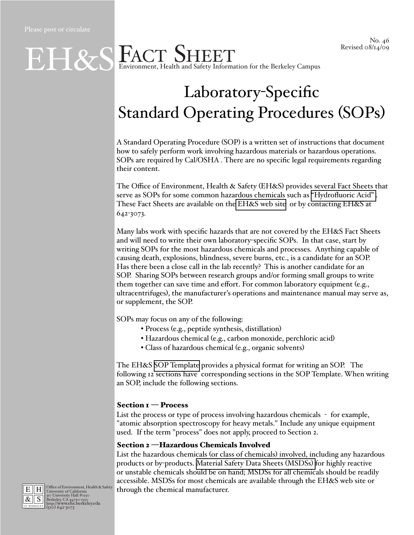# Laboratory-Specific Standard Operating Procedures (SOPs)

A Standard Operating Procedure (SOP) is a written set of instructions that document how to safely perform work involving hazardous materials or hazardous operations. SOPs are required by Cal/OSHA . There are no specific legal requirements regarding their content.

The Office of Environment, Health & Safety (EH&S) provides several Fact Sheets that serve as SOPs for some common hazardous chemicals such as ["Hydrofluoric Acid" .](http://ehs.berkeley.edu/images/ehs/pubs/40hf.pdf) These Fact Sheets are available on the [EH&S web site](http://ehs.berkeley.edu/pubs.html) or by contacting EH&S at 642-3073.

Many labs work with specific hazards that are not covered by the EH&S Fact Sheets and will need to write their own laboratory-specific SOPs. In that case, start by writing SOPs for the most hazardous chemicals and processes. Anything capable of causing death, explosions, blindness, severe burns, etc., is a candidate for an SOP. Has there been a close call in the lab recently? This is another candidate for an SOP. Sharing SOPs between research groups and/or forming small groups to write them together can save time and effort. For common laboratory equipment (e.g., ultracentrifuges), the manufacturer's operations and maintenance manual may serve as, or supplement, the SOP.

SOPs may focus on any of the following:

- Process (e.g., peptide synthesis, distillation)
- Hazardous chemical (e.g., carbon monoxide, perchloric acid)
- Class of hazardous chemical (e.g., organic solvents)

The EH&S [SOP Template](http://ehs.berkeley.edu/images/ehs/healthsafety/soptemplate.doc) provides a physical format for writing an SOP. The following 12 sections have corresponding sections in the SOP Template. When writing an SOP, include the following sections.

#### Section  $I$  – Process

List the process or type of process involving hazardous chemicals - for example, "atomic absorption spectroscopy for heavy metals." Include any unique equipment used. If the term "process" does not apply, proceed to Section 2.

#### Section 2 —Hazardous Chemicals Involved

List the hazardous chemicals (or class of chemicals) involved, including any hazardous products or by-products. [Material Safety Data Sheets \(MSDSs\)](http://ehs.berkeley.edu/hs/267-material-safety-data-sheets-msds.html) for highly reactive or unstable chemicals should be on hand; MSDSs for all chemicals should be readily accessible. MSDSs for most chemicals are available through the EH&S web site or through the chemical manufacturer.



E H Office of Environment, Health & Safety<br>  $\frac{R}{\mathcal{R}}$  S Berkeley, CA 94720-1150<br> **BERKELEY, CA 94720-1150**<br> **BERKELEY (510) 642-3073**<br>
(510) 642-3073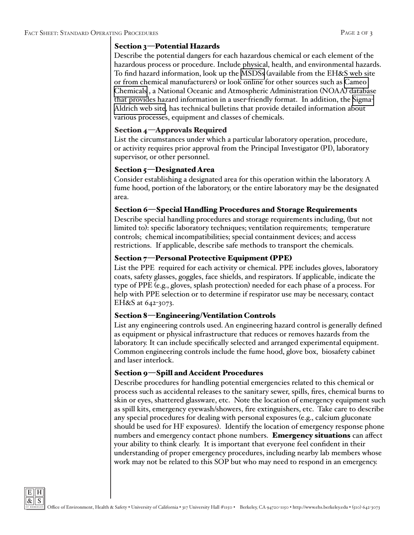#### Section 3—Potential Hazards

Describe the potential dangers for each hazardous chemical or each element of the hazardous process or procedure. Include physical, health, and environmental hazards. To find hazard information, look up the [MSDSs](http://ehs.berkeley.edu/hs/267-material-safety-data-sheets-msds.html) (available from the EH&S web site or from chemical manufacturers) or look online for other sources such as [Cameo](http://cameochemicals.noaa.gov/)  [Chemicals](http://cameochemicals.noaa.gov/) , a National Oceanic and Atmospheric Administration (NOAA) database that provides hazard information in a user-friendly format. In addition, the [Sigma-](http://www.sigmaaldrich.com/chemistry/chemical-synthesis/learning-center/technical-bulletins.html)[Aldrich web site,](http://www.sigmaaldrich.com/chemistry/chemical-synthesis/learning-center/technical-bulletins.html) has technical bulletins that provide detailed information about various processes, equipment and classes of chemicals.

## Section 4—Approvals Required

List the circumstances under which a particular laboratory operation, procedure, or activity requires prior approval from the Principal Investigator (PI), laboratory supervisor, or other personnel.

#### Section 5—Designated Area

Consider establishing a designated area for this operation within the laboratory. A fume hood, portion of the laboratory, or the entire laboratory may be the designated area.

## Section 6—Special Handling Procedures and Storage Requirements

Describe special handling procedures and storage requirements including, (but not limited to): specific laboratory techniques; ventilation requirements; temperature controls; chemical incompatibilities; special containment devices; and access restrictions. If applicable, describe safe methods to transport the chemicals.

## Section 7—Personal Protective Equipment (PPE)

List the PPE required for each activity or chemical. PPE includes gloves, laboratory coats, safety glasses, goggles, face shields, and respirators. If applicable, indicate the type of PPE (e.g., gloves, splash protection) needed for each phase of a process. For help with PPE selection or to determine if respirator use may be necessary, contact EH&S at 642-3073.

## Section 8—Engineering/Ventilation Controls

List any engineering controls used. An engineering hazard control is generally defined as equipment or physical infrastructure that reduces or removes hazards from the laboratory. It can include specifically selected and arranged experimental equipment. Common engineering controls include the fume hood, glove box, biosafety cabinet and laser interlock.

## Section 9—Spill and Accident Procedures

Describe procedures for handling potential emergencies related to this chemical or process such as accidental releases to the sanitary sewer, spills, fires, chemical burns to skin or eyes, shattered glassware, etc. Note the location of emergency equipment such as spill kits, emergency eyewash/showers, fire extinguishers, etc. Take care to describe any special procedures for dealing with personal exposures (e.g., calcium gluconate should be used for HF exposures). Identify the location of emergency response phone numbers and emergency contact phone numbers. **Emergency situations** can affect your ability to think clearly. It is important that everyone feel confident in their understanding of proper emergency procedures, including nearby lab members whose work may not be related to this SOP but who may need to respond in an emergency.